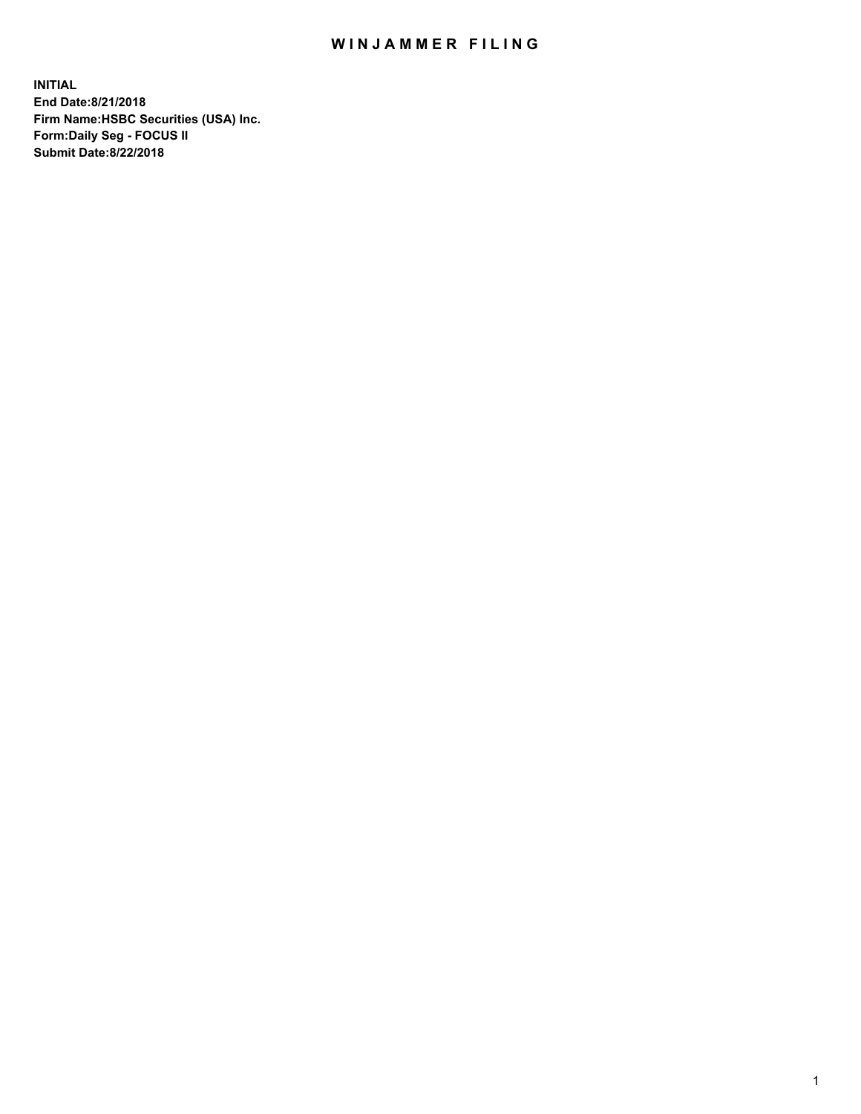## WIN JAMMER FILING

**INITIAL End Date:8/21/2018 Firm Name:HSBC Securities (USA) Inc. Form:Daily Seg - FOCUS II Submit Date:8/22/2018**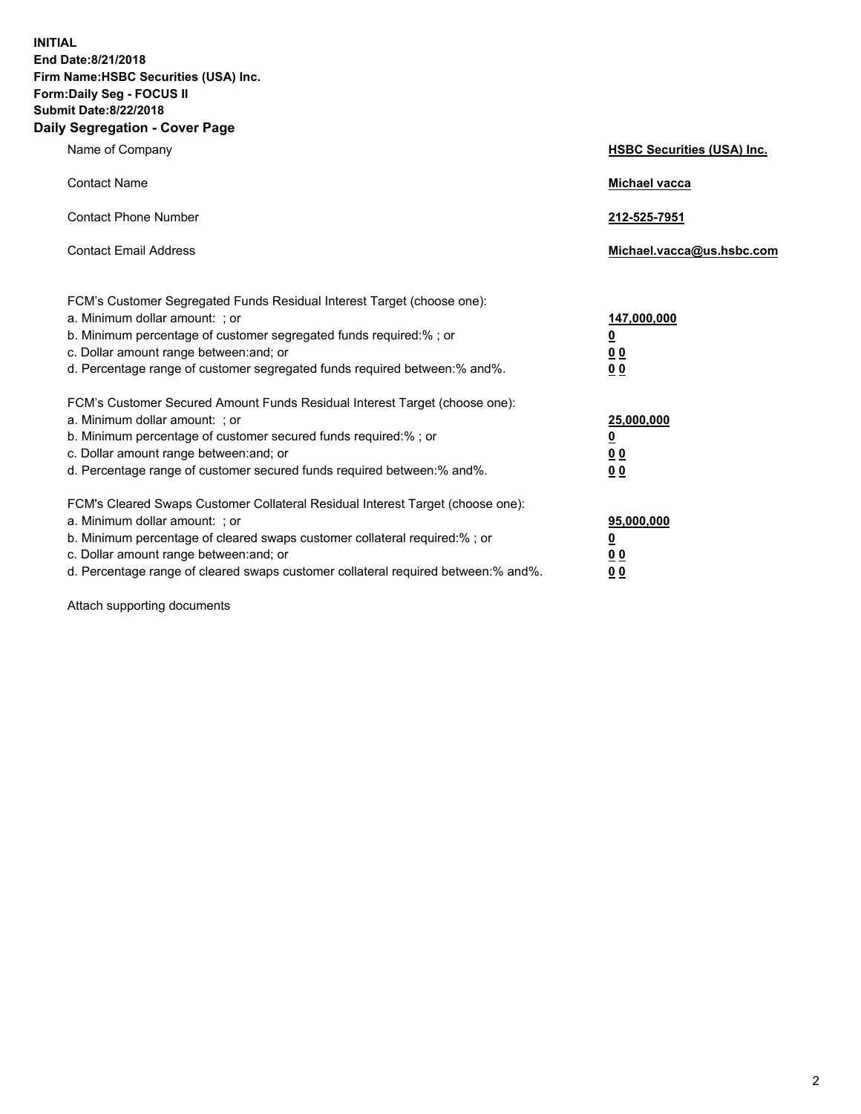**INITIAL End Date:8/21/2018 Firm Name:HSBC Securities (USA) Inc. Form:Daily Seg - FOCUS II Submit Date:8/22/2018 Daily Segregation - Cover Page**

| Name of Company                                                                                                                                                                                                                                                                                                                | <b>HSBC Securities (USA) Inc.</b>                                          |
|--------------------------------------------------------------------------------------------------------------------------------------------------------------------------------------------------------------------------------------------------------------------------------------------------------------------------------|----------------------------------------------------------------------------|
| <b>Contact Name</b>                                                                                                                                                                                                                                                                                                            | Michael vacca                                                              |
| <b>Contact Phone Number</b>                                                                                                                                                                                                                                                                                                    | 212-525-7951                                                               |
| <b>Contact Email Address</b>                                                                                                                                                                                                                                                                                                   | Michael.vacca@us.hsbc.com                                                  |
| FCM's Customer Segregated Funds Residual Interest Target (choose one):<br>a. Minimum dollar amount: : or<br>b. Minimum percentage of customer segregated funds required:% ; or<br>c. Dollar amount range between: and; or<br>d. Percentage range of customer segregated funds required between:% and%.                         | 147,000,000<br>$\overline{\mathbf{0}}$<br>0 <sub>0</sub><br>0 <sub>0</sub> |
| FCM's Customer Secured Amount Funds Residual Interest Target (choose one):<br>a. Minimum dollar amount: ; or<br>b. Minimum percentage of customer secured funds required:%; or<br>c. Dollar amount range between: and; or<br>d. Percentage range of customer secured funds required between:% and%.                            | 25,000,000<br>$\overline{\mathbf{0}}$<br>0 <sub>0</sub><br>0 <sub>0</sub>  |
| FCM's Cleared Swaps Customer Collateral Residual Interest Target (choose one):<br>a. Minimum dollar amount: ; or<br>b. Minimum percentage of cleared swaps customer collateral required:% ; or<br>c. Dollar amount range between: and; or<br>d. Percentage range of cleared swaps customer collateral required between:% and%. | 95,000,000<br>$\overline{\mathbf{0}}$<br>0 <sub>0</sub><br>0 <sub>0</sub>  |

Attach supporting documents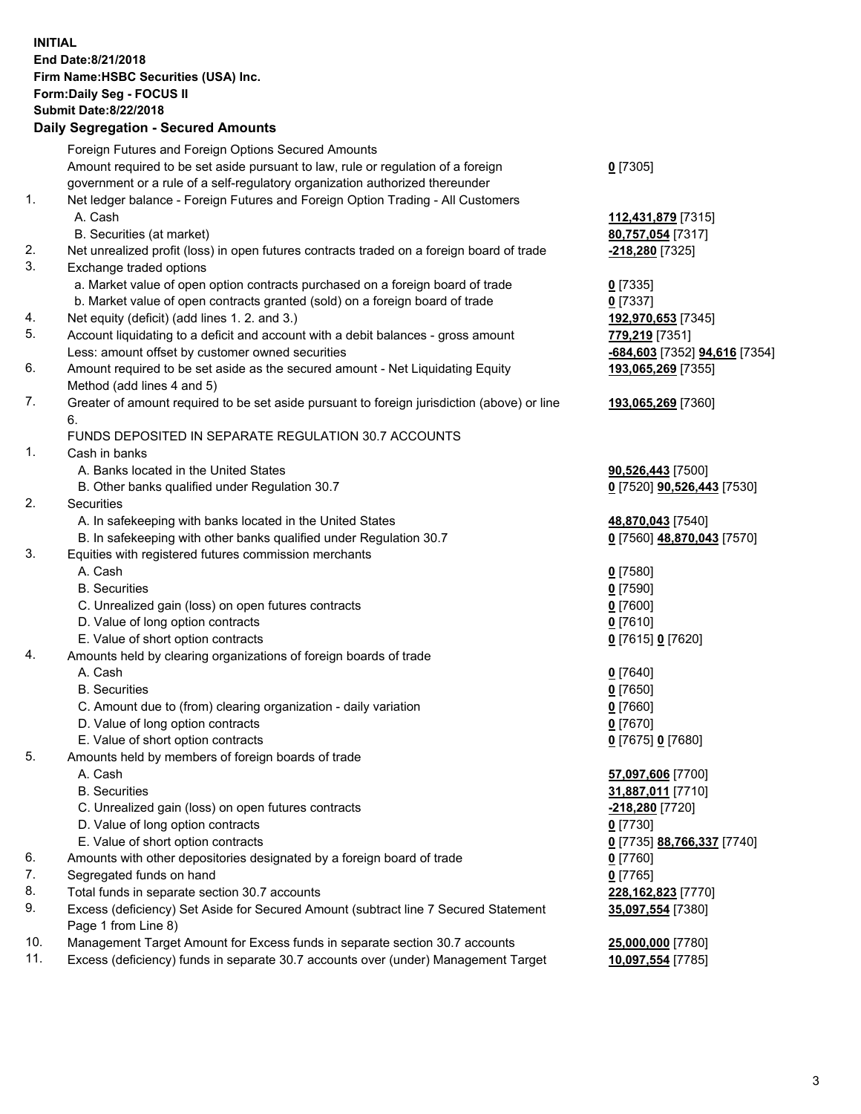**INITIAL End Date:8/21/2018 Firm Name:HSBC Securities (USA) Inc. Form:Daily Seg - FOCUS II Submit Date:8/22/2018 Daily Segregation - Secured Amounts**

Foreign Futures and Foreign Options Secured Amounts Amount required to be set aside pursuant to law, rule or regulation of a foreign government or a rule of a self-regulatory organization authorized thereunder **0** [7305] 1. Net ledger balance - Foreign Futures and Foreign Option Trading - All Customers A. Cash **112,431,879** [7315] B. Securities (at market) **80,757,054** [7317] 2. Net unrealized profit (loss) in open futures contracts traded on a foreign board of trade **-218,280** [7325] 3. Exchange traded options a. Market value of open option contracts purchased on a foreign board of trade **0** [7335] b. Market value of open contracts granted (sold) on a foreign board of trade **0** [7337] 4. Net equity (deficit) (add lines 1. 2. and 3.) **192,970,653** [7345] 5. Account liquidating to a deficit and account with a debit balances - gross amount **779,219** [7351] Less: amount offset by customer owned securities **-684,603** [7352] **94,616** [7354] 6. Amount required to be set aside as the secured amount - Net Liquidating Equity Method (add lines 4 and 5) **193,065,269** [7355] 7. Greater of amount required to be set aside pursuant to foreign jurisdiction (above) or line 6. **193,065,269** [7360] FUNDS DEPOSITED IN SEPARATE REGULATION 30.7 ACCOUNTS 1. Cash in banks A. Banks located in the United States **90,526,443** [7500] B. Other banks qualified under Regulation 30.7 **0** [7520] **90,526,443** [7530] 2. Securities A. In safekeeping with banks located in the United States **48,870,043** [7540] B. In safekeeping with other banks qualified under Regulation 30.7 **0** [7560] **48,870,043** [7570] 3. Equities with registered futures commission merchants A. Cash **0** [7580] B. Securities **0** [7590] C. Unrealized gain (loss) on open futures contracts **0** [7600] D. Value of long option contracts **0** [7610] E. Value of short option contracts **0** [7615] **0** [7620] 4. Amounts held by clearing organizations of foreign boards of trade A. Cash **0** [7640] B. Securities **0** [7650] C. Amount due to (from) clearing organization - daily variation **0** [7660] D. Value of long option contracts **0** [7670] E. Value of short option contracts **0** [7675] **0** [7680] 5. Amounts held by members of foreign boards of trade A. Cash **57,097,606** [7700] B. Securities **31,887,011** [7710] C. Unrealized gain (loss) on open futures contracts **-218,280** [7720] D. Value of long option contracts **0** [7730] E. Value of short option contracts **0** [7735] **88,766,337** [7740] 6. Amounts with other depositories designated by a foreign board of trade **0** [7760] 7. Segregated funds on hand **0** [7765] 8. Total funds in separate section 30.7 accounts **228,162,823** [7770] 9. Excess (deficiency) Set Aside for Secured Amount (subtract line 7 Secured Statement Page 1 from Line 8) **35,097,554** [7380] 10. Management Target Amount for Excess funds in separate section 30.7 accounts **25,000,000** [7780] 11. Excess (deficiency) funds in separate 30.7 accounts over (under) Management Target **10,097,554** [7785]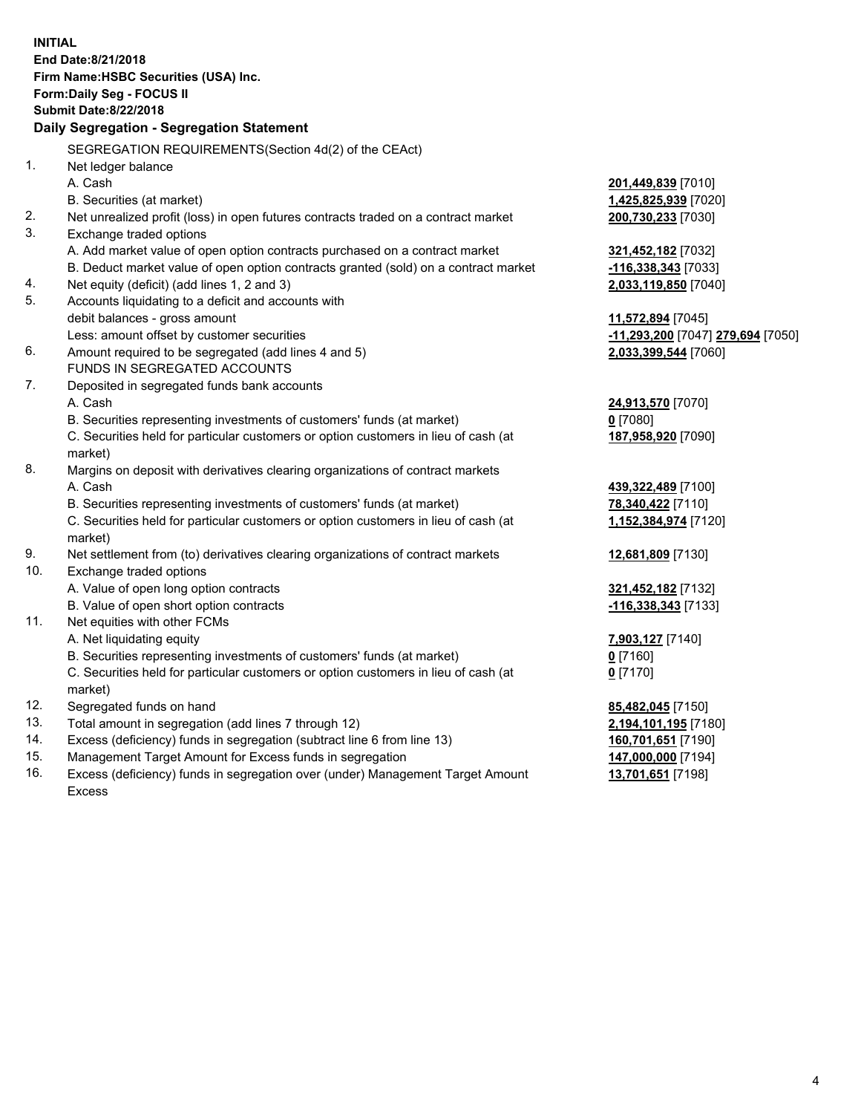**INITIAL End Date:8/21/2018 Firm Name:HSBC Securities (USA) Inc. Form:Daily Seg - FOCUS II Submit Date:8/22/2018 Daily Segregation - Segregation Statement** SEGREGATION REQUIREMENTS(Section 4d(2) of the CEAct) 1. Net ledger balance A. Cash **201,449,839** [7010] B. Securities (at market) **1,425,825,939** [7020] 2. Net unrealized profit (loss) in open futures contracts traded on a contract market **200,730,233** [7030] 3. Exchange traded options A. Add market value of open option contracts purchased on a contract market **321,452,182** [7032] B. Deduct market value of open option contracts granted (sold) on a contract market **-116,338,343** [7033] 4. Net equity (deficit) (add lines 1, 2 and 3) **2,033,119,850** [7040] 5. Accounts liquidating to a deficit and accounts with debit balances - gross amount **11,572,894** [7045] Less: amount offset by customer securities **-11,293,200** [7047] **279,694** [7050] 6. Amount required to be segregated (add lines 4 and 5) **2,033,399,544** [7060] FUNDS IN SEGREGATED ACCOUNTS 7. Deposited in segregated funds bank accounts A. Cash **24,913,570** [7070] B. Securities representing investments of customers' funds (at market) **0** [7080] C. Securities held for particular customers or option customers in lieu of cash (at market) **187,958,920** [7090] 8. Margins on deposit with derivatives clearing organizations of contract markets A. Cash **439,322,489** [7100] B. Securities representing investments of customers' funds (at market) **78,340,422** [7110] C. Securities held for particular customers or option customers in lieu of cash (at market) **1,152,384,974** [7120] 9. Net settlement from (to) derivatives clearing organizations of contract markets **12,681,809** [7130] 10. Exchange traded options A. Value of open long option contracts **321,452,182** [7132] B. Value of open short option contracts **-116,338,343** [7133] 11. Net equities with other FCMs A. Net liquidating equity **7,903,127** [7140] B. Securities representing investments of customers' funds (at market) **0** [7160] C. Securities held for particular customers or option customers in lieu of cash (at market) **0** [7170] 12. Segregated funds on hand **85,482,045** [7150] 13. Total amount in segregation (add lines 7 through 12) **2,194,101,195** [7180] 14. Excess (deficiency) funds in segregation (subtract line 6 from line 13) **160,701,651** [7190] 15. Management Target Amount for Excess funds in segregation **147,000,000** [7194] 16. Excess (deficiency) funds in segregation over (under) Management Target Amount **13,701,651** [7198]

Excess